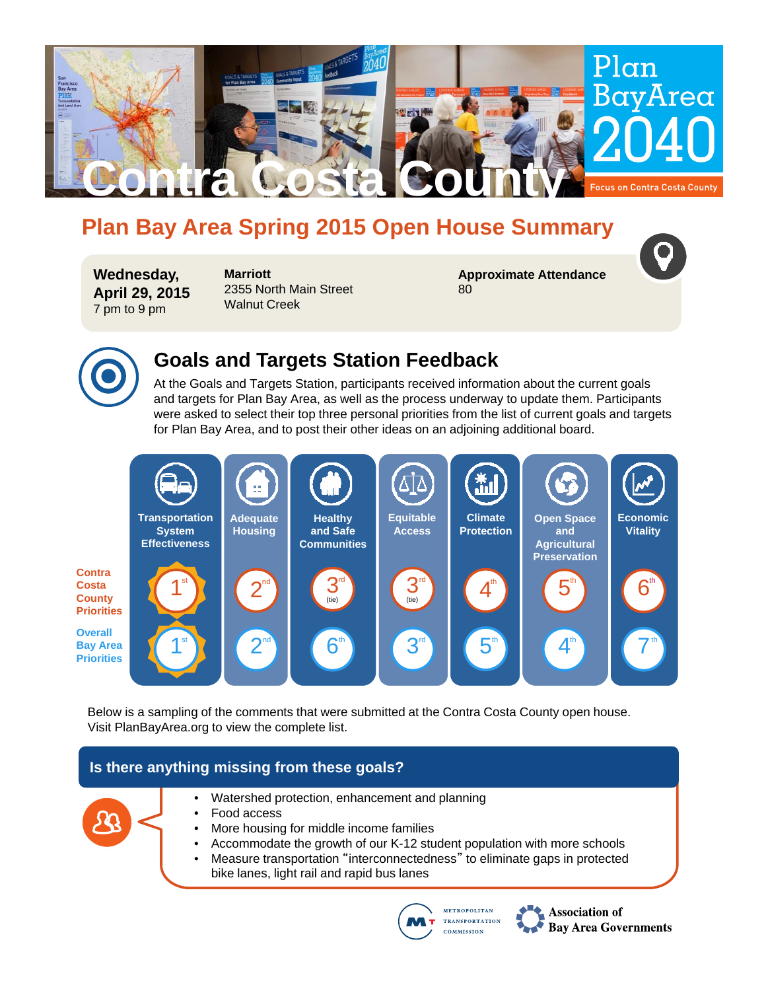

# **Plan Bay Area Spring 2015 Open House Summary**

**Wednesday, April 29, 2015** 7 pm to 9 pm

**Marriott** 2355 North Main Street Walnut Creek

**Approximate Attendance** 80



# **Goals and Targets Station Feedback**

At the Goals and Targets Station, participants received information about the current goals and targets for Plan Bay Area, as well as the process underway to update them. Participants were asked to select their top three personal priorities from the list of current goals and targets for Plan Bay Area, and to post their other ideas on an adjoining additional board.



Below is a sampling of the comments that were submitted at the Contra Costa County open house. Visit PlanBayArea.org to view the complete list.

### **Is there anything missing from these goals?**



- Watershed protection, enhancement and planning
- Food access
- More housing for middle income families
- Accommodate the growth of our K-12 student population with more schools
- Measure transportation "interconnectedness" to eliminate gaps in protected bike lanes, light rail and rapid bus lanes



**Association of Bay Area Governments**